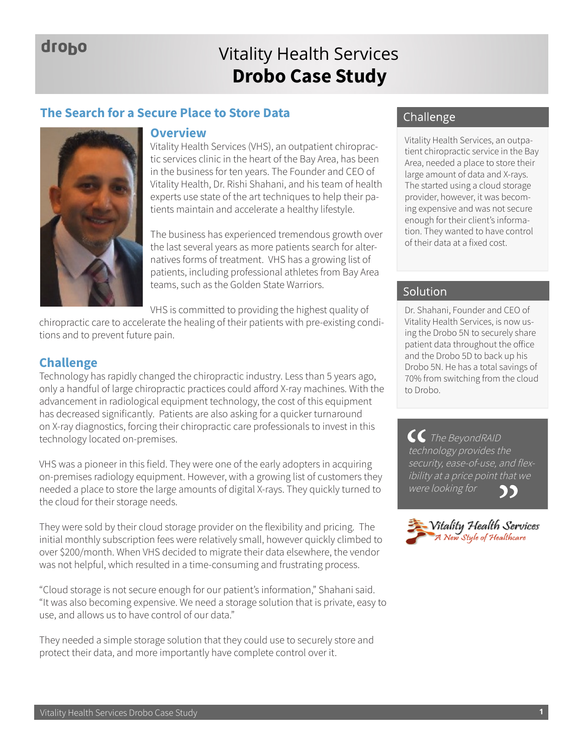## droho

## **Drobo Case Study** Vitality Health Services

## **The Search for a Secure Place to Store Data**



#### **Overview**

Vitality Health Services (VHS), an outpatient chiropractic services clinic in the heart of the Bay Area, has been in the business for ten years. The Founder and CEO of Vitality Health, Dr. Rishi Shahani, and his team of health experts use state of the art techniques to help their patients maintain and accelerate a healthy lifestyle.

The business has experienced tremendous growth over the last several years as more patients search for alternatives forms of treatment. VHS has a growing list of patients, including professional athletes from Bay Area teams, such as the Golden State Warriors.

VHS is committed to providing the highest quality of

chiropractic care to accelerate the healing of their patients with pre-existing conditions and to prevent future pain.

## **Challenge**

Technology has rapidly changed the chiropractic industry. Less than 5 years ago, only a handful of large chiropractic practices could afford X-ray machines. With the advancement in radiological equipment technology, the cost of this equipment has decreased significantly. Patients are also asking for a quicker turnaround on X-ray diagnostics, forcing their chiropractic care professionals to invest in this technology located on-premises.

VHS was a pioneer in this field. They were one of the early adopters in acquiring on-premises radiology equipment. However, with a growing list of customers they needed a place to store the large amounts of digital X-rays. They quickly turned to the cloud for their storage needs.

They were sold by their cloud storage provider on the flexibility and pricing. The initial monthly subscription fees were relatively small, however quickly climbed to over \$200/month. When VHS decided to migrate their data elsewhere, the vendor was not helpful, which resulted in a time-consuming and frustrating process.

"Cloud storage is not secure enough for our patient's information," Shahani said. "It was also becoming expensive. We need a storage solution that is private, easy to use, and allows us to have control of our data."

They needed a simple storage solution that they could use to securely store and protect their data, and more importantly have complete control over it.

## Challenge

Vitality Health Services, an outpatient chiropractic service in the Bay Area, needed a place to store their large amount of data and X-rays. The started using a cloud storage provider, however, it was becoming expensive and was not secure enough for their client's information. They wanted to have control of their data at a fixed cost.

## Solution

Dr. Shahani, Founder and CEO of Vitality Health Services, is now using the Drobo 5N to securely share patient data throughout the office and the Drobo 5D to back up his Drobo 5N. He has a total savings of 70% from switching from the cloud to Drobo.

CC The BeyondRAID technology provides the security, ease-of-use, and flexibility at a price point that we were looking forDD)